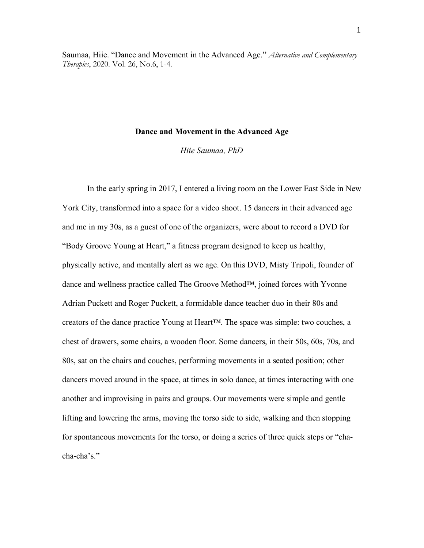Saumaa, Hiie. "Dance and Movement in the Advanced Age." *Alternative and Complementary Therapies*, 2020. Vol. 26, No.6, 1-4.

## **Dance and Movement in the Advanced Age**

*Hiie Saumaa, PhD* 

In the early spring in 2017, I entered a living room on the Lower East Side in New York City, transformed into a space for a video shoot. 15 dancers in their advanced age and me in my 30s, as a guest of one of the organizers, were about to record a DVD for "Body Groove Young at Heart," a fitness program designed to keep us healthy, physically active, and mentally alert as we age. On this DVD, Misty Tripoli, founder of dance and wellness practice called The Groove Method™, joined forces with Yvonne Adrian Puckett and Roger Puckett, a formidable dance teacher duo in their 80s and creators of the dance practice Young at Heart™. The space was simple: two couches, a chest of drawers, some chairs, a wooden floor. Some dancers, in their 50s, 60s, 70s, and 80s, sat on the chairs and couches, performing movements in a seated position; other dancers moved around in the space, at times in solo dance, at times interacting with one another and improvising in pairs and groups. Our movements were simple and gentle – lifting and lowering the arms, moving the torso side to side, walking and then stopping for spontaneous movements for the torso, or doing a series of three quick steps or "chacha-cha's."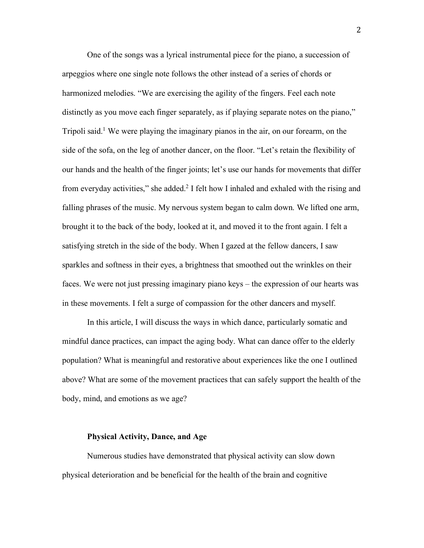One of the songs was a lyrical instrumental piece for the piano, a succession of arpeggios where one single note follows the other instead of a series of chords or harmonized melodies. "We are exercising the agility of the fingers. Feel each note distinctly as you move each finger separately, as if playing separate notes on the piano," Tripoli said.1 We were playing the imaginary pianos in the air, on our forearm, on the side of the sofa, on the leg of another dancer, on the floor. "Let's retain the flexibility of our hands and the health of the finger joints; let's use our hands for movements that differ from everyday activities," she added.<sup>2</sup> I felt how I inhaled and exhaled with the rising and falling phrases of the music. My nervous system began to calm down. We lifted one arm, brought it to the back of the body, looked at it, and moved it to the front again. I felt a satisfying stretch in the side of the body. When I gazed at the fellow dancers, I saw sparkles and softness in their eyes, a brightness that smoothed out the wrinkles on their faces. We were not just pressing imaginary piano keys – the expression of our hearts was in these movements. I felt a surge of compassion for the other dancers and myself.

In this article, I will discuss the ways in which dance, particularly somatic and mindful dance practices, can impact the aging body. What can dance offer to the elderly population? What is meaningful and restorative about experiences like the one I outlined above? What are some of the movement practices that can safely support the health of the body, mind, and emotions as we age?

#### **Physical Activity, Dance, and Age**

Numerous studies have demonstrated that physical activity can slow down physical deterioration and be beneficial for the health of the brain and cognitive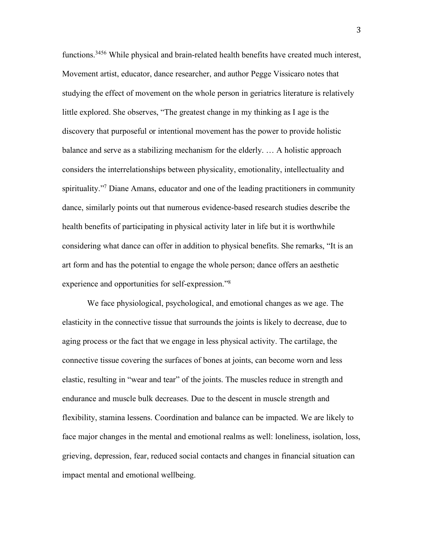functions.<sup>3456</sup> While physical and brain-related health benefits have created much interest, Movement artist, educator, dance researcher, and author Pegge Vissicaro notes that studying the effect of movement on the whole person in geriatrics literature is relatively little explored. She observes, "The greatest change in my thinking as I age is the discovery that purposeful or intentional movement has the power to provide holistic balance and serve as a stabilizing mechanism for the elderly. … A holistic approach considers the interrelationships between physicality, emotionality, intellectuality and spirituality."7 Diane Amans, educator and one of the leading practitioners in community dance, similarly points out that numerous evidence-based research studies describe the health benefits of participating in physical activity later in life but it is worthwhile considering what dance can offer in addition to physical benefits. She remarks, "It is an art form and has the potential to engage the whole person; dance offers an aesthetic experience and opportunities for self-expression."8

We face physiological, psychological, and emotional changes as we age. The elasticity in the connective tissue that surrounds the joints is likely to decrease, due to aging process or the fact that we engage in less physical activity. The cartilage, the connective tissue covering the surfaces of bones at joints, can become worn and less elastic, resulting in "wear and tear" of the joints. The muscles reduce in strength and endurance and muscle bulk decreases. Due to the descent in muscle strength and flexibility, stamina lessens. Coordination and balance can be impacted. We are likely to face major changes in the mental and emotional realms as well: loneliness, isolation, loss, grieving, depression, fear, reduced social contacts and changes in financial situation can impact mental and emotional wellbeing.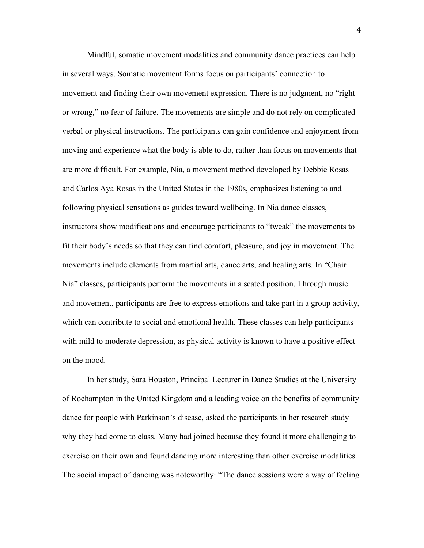Mindful, somatic movement modalities and community dance practices can help in several ways. Somatic movement forms focus on participants' connection to movement and finding their own movement expression. There is no judgment, no "right or wrong," no fear of failure. The movements are simple and do not rely on complicated verbal or physical instructions. The participants can gain confidence and enjoyment from moving and experience what the body is able to do, rather than focus on movements that are more difficult. For example, Nia, a movement method developed by Debbie Rosas and Carlos Aya Rosas in the United States in the 1980s, emphasizes listening to and following physical sensations as guides toward wellbeing. In Nia dance classes, instructors show modifications and encourage participants to "tweak" the movements to fit their body's needs so that they can find comfort, pleasure, and joy in movement. The movements include elements from martial arts, dance arts, and healing arts. In "Chair Nia" classes, participants perform the movements in a seated position. Through music and movement, participants are free to express emotions and take part in a group activity, which can contribute to social and emotional health. These classes can help participants with mild to moderate depression, as physical activity is known to have a positive effect on the mood.

In her study, Sara Houston, Principal Lecturer in Dance Studies at the University of Roehampton in the United Kingdom and a leading voice on the benefits of community dance for people with Parkinson's disease, asked the participants in her research study why they had come to class. Many had joined because they found it more challenging to exercise on their own and found dancing more interesting than other exercise modalities. The social impact of dancing was noteworthy: "The dance sessions were a way of feeling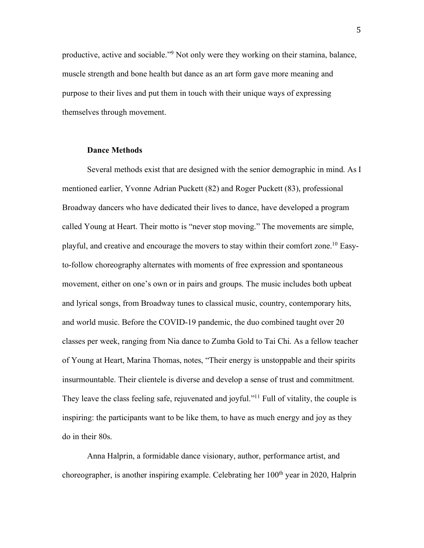productive, active and sociable."9 Not only were they working on their stamina, balance, muscle strength and bone health but dance as an art form gave more meaning and purpose to their lives and put them in touch with their unique ways of expressing themselves through movement.

## **Dance Methods**

Several methods exist that are designed with the senior demographic in mind. As I mentioned earlier, Yvonne Adrian Puckett (82) and Roger Puckett (83), professional Broadway dancers who have dedicated their lives to dance, have developed a program called Young at Heart. Their motto is "never stop moving." The movements are simple, playful, and creative and encourage the movers to stay within their comfort zone.10 Easyto-follow choreography alternates with moments of free expression and spontaneous movement, either on one's own or in pairs and groups. The music includes both upbeat and lyrical songs, from Broadway tunes to classical music, country, contemporary hits, and world music. Before the COVID-19 pandemic, the duo combined taught over 20 classes per week, ranging from Nia dance to Zumba Gold to Tai Chi. As a fellow teacher of Young at Heart, Marina Thomas, notes, "Their energy is unstoppable and their spirits insurmountable. Their clientele is diverse and develop a sense of trust and commitment. They leave the class feeling safe, rejuvenated and joyful."<sup>11</sup> Full of vitality, the couple is inspiring: the participants want to be like them, to have as much energy and joy as they do in their 80s.

Anna Halprin, a formidable dance visionary, author, performance artist, and choreographer, is another inspiring example. Celebrating her 100<sup>th</sup> year in 2020, Halprin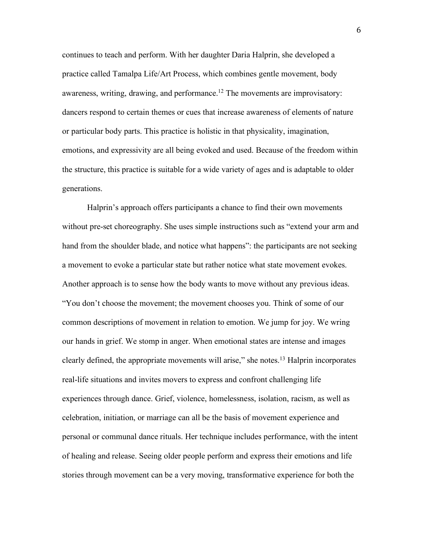continues to teach and perform. With her daughter Daria Halprin, she developed a practice called Tamalpa Life/Art Process, which combines gentle movement, body awareness, writing, drawing, and performance.<sup>12</sup> The movements are improvisatory: dancers respond to certain themes or cues that increase awareness of elements of nature or particular body parts. This practice is holistic in that physicality, imagination, emotions, and expressivity are all being evoked and used. Because of the freedom within the structure, this practice is suitable for a wide variety of ages and is adaptable to older generations.

Halprin's approach offers participants a chance to find their own movements without pre-set choreography. She uses simple instructions such as "extend your arm and hand from the shoulder blade, and notice what happens": the participants are not seeking a movement to evoke a particular state but rather notice what state movement evokes. Another approach is to sense how the body wants to move without any previous ideas. "You don't choose the movement; the movement chooses you. Think of some of our common descriptions of movement in relation to emotion. We jump for joy. We wring our hands in grief. We stomp in anger. When emotional states are intense and images clearly defined, the appropriate movements will arise," she notes.13 Halprin incorporates real-life situations and invites movers to express and confront challenging life experiences through dance. Grief, violence, homelessness, isolation, racism, as well as celebration, initiation, or marriage can all be the basis of movement experience and personal or communal dance rituals. Her technique includes performance, with the intent of healing and release. Seeing older people perform and express their emotions and life stories through movement can be a very moving, transformative experience for both the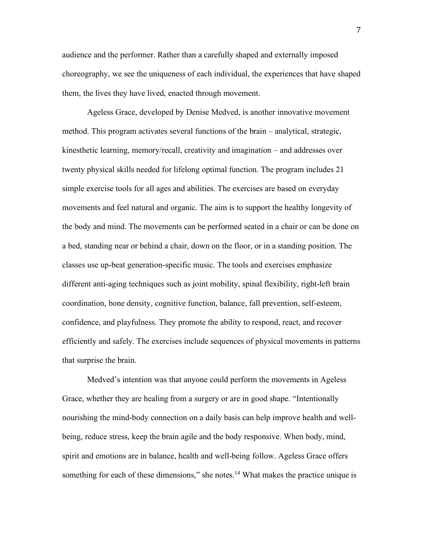audience and the performer. Rather than a carefully shaped and externally imposed choreography, we see the uniqueness of each individual, the experiences that have shaped them, the lives they have lived, enacted through movement.

Ageless Grace, developed by Denise Medved, is another innovative movement method. This program activates several functions of the brain – analytical, strategic, kinesthetic learning, memory/recall, creativity and imagination – and addresses over twenty physical skills needed for lifelong optimal function. The program includes 21 simple exercise tools for all ages and abilities. The exercises are based on everyday movements and feel natural and organic. The aim is to support the healthy longevity of the body and mind. The movements can be performed seated in a chair or can be done on a bed, standing near or behind a chair, down on the floor, or in a standing position. The classes use up-beat generation-specific music. The tools and exercises emphasize different anti-aging techniques such as joint mobility, spinal flexibility, right-left brain coordination, bone density, cognitive function, balance, fall prevention, self-esteem, confidence, and playfulness. They promote the ability to respond, react, and recover efficiently and safely. The exercises include sequences of physical movements in patterns that surprise the brain.

Medved's intention was that anyone could perform the movements in Ageless Grace, whether they are healing from a surgery or are in good shape. "Intentionally nourishing the mind-body connection on a daily basis can help improve health and wellbeing, reduce stress, keep the brain agile and the body responsive. When body, mind, spirit and emotions are in balance, health and well-being follow. Ageless Grace offers something for each of these dimensions," she notes.<sup>14</sup> What makes the practice unique is

7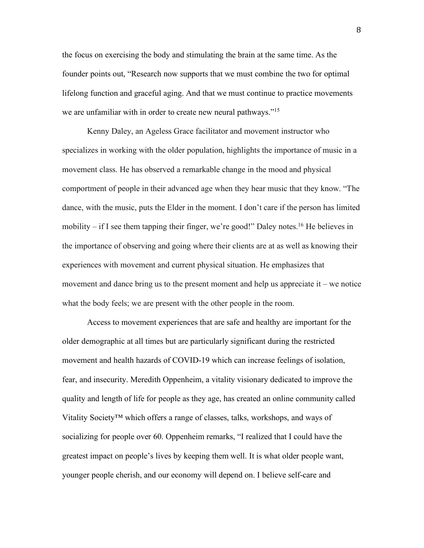the focus on exercising the body and stimulating the brain at the same time. As the founder points out, "Research now supports that we must combine the two for optimal lifelong function and graceful aging. And that we must continue to practice movements we are unfamiliar with in order to create new neural pathways."<sup>15</sup>

Kenny Daley, an Ageless Grace facilitator and movement instructor who specializes in working with the older population, highlights the importance of music in a movement class. He has observed a remarkable change in the mood and physical comportment of people in their advanced age when they hear music that they know. "The dance, with the music, puts the Elder in the moment. I don't care if the person has limited mobility – if I see them tapping their finger, we're good!" Daley notes.<sup>16</sup> He believes in the importance of observing and going where their clients are at as well as knowing their experiences with movement and current physical situation. He emphasizes that movement and dance bring us to the present moment and help us appreciate  $it$  – we notice what the body feels; we are present with the other people in the room.

Access to movement experiences that are safe and healthy are important for the older demographic at all times but are particularly significant during the restricted movement and health hazards of COVID-19 which can increase feelings of isolation, fear, and insecurity. Meredith Oppenheim, a vitality visionary dedicated to improve the quality and length of life for people as they age, has created an online community called Vitality Society™ which offers a range of classes, talks, workshops, and ways of socializing for people over 60. Oppenheim remarks, "I realized that I could have the greatest impact on people's lives by keeping them well. It is what older people want, younger people cherish, and our economy will depend on. I believe self-care and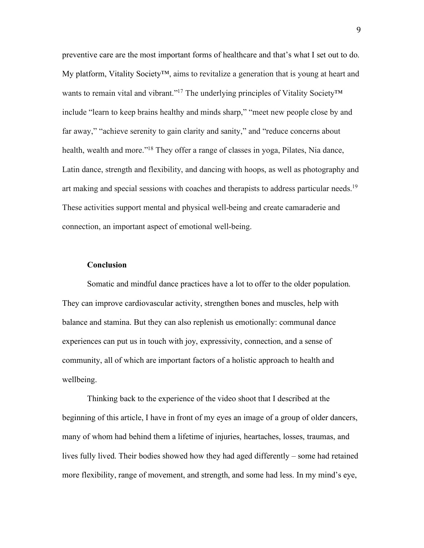preventive care are the most important forms of healthcare and that's what I set out to do. My platform, Vitality Society™, aims to revitalize a generation that is young at heart and wants to remain vital and vibrant."<sup>17</sup> The underlying principles of Vitality Society<sup>™</sup> include "learn to keep brains healthy and minds sharp," "meet new people close by and far away," "achieve serenity to gain clarity and sanity," and "reduce concerns about health, wealth and more."<sup>18</sup> They offer a range of classes in yoga, Pilates, Nia dance, Latin dance, strength and flexibility, and dancing with hoops, as well as photography and art making and special sessions with coaches and therapists to address particular needs.<sup>19</sup> These activities support mental and physical well-being and create camaraderie and connection, an important aspect of emotional well-being.

# **Conclusion**

Somatic and mindful dance practices have a lot to offer to the older population. They can improve cardiovascular activity, strengthen bones and muscles, help with balance and stamina. But they can also replenish us emotionally: communal dance experiences can put us in touch with joy, expressivity, connection, and a sense of community, all of which are important factors of a holistic approach to health and wellbeing.

Thinking back to the experience of the video shoot that I described at the beginning of this article, I have in front of my eyes an image of a group of older dancers, many of whom had behind them a lifetime of injuries, heartaches, losses, traumas, and lives fully lived. Their bodies showed how they had aged differently – some had retained more flexibility, range of movement, and strength, and some had less. In my mind's eye,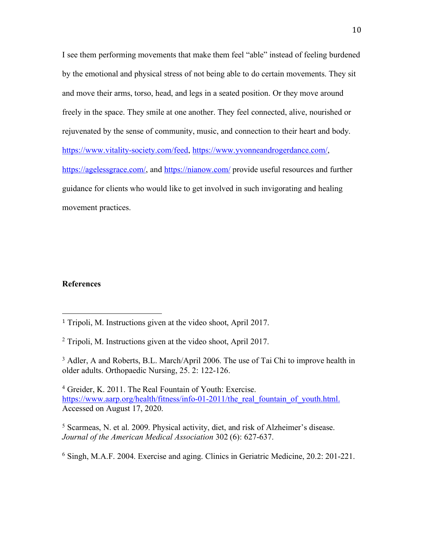I see them performing movements that make them feel "able" instead of feeling burdened by the emotional and physical stress of not being able to do certain movements. They sit and move their arms, torso, head, and legs in a seated position. Or they move around freely in the space. They smile at one another. They feel connected, alive, nourished or rejuvenated by the sense of community, music, and connection to their heart and body. https://www.vitality-society.com/feed, https://www.yvonneandrogerdance.com/, https://agelessgrace.com/, and https://nianow.com/ provide useful resources and further guidance for clients who would like to get involved in such invigorating and healing movement practices.

## **References**

 

<sup>1</sup> Tripoli, M. Instructions given at the video shoot, April 2017.

<sup>2</sup> Tripoli, M. Instructions given at the video shoot, April 2017.

<sup>&</sup>lt;sup>3</sup> Adler, A and Roberts, B.L. March/April 2006. The use of Tai Chi to improve health in older adults. Orthopaedic Nursing, 25. 2: 122-126.

<sup>4</sup> Greider, K. 2011. The Real Fountain of Youth: Exercise. https://www.aarp.org/health/fitness/info-01-2011/the\_real\_fountain\_of\_youth.html. Accessed on August 17, 2020.

<sup>5</sup> Scarmeas, N. et al. 2009. Physical activity, diet, and risk of Alzheimer's disease. *Journal of the American Medical Association* 302 (6): 627-637.

<sup>6</sup> Singh, M.A.F. 2004. Exercise and aging. Clinics in Geriatric Medicine, 20.2: 201-221.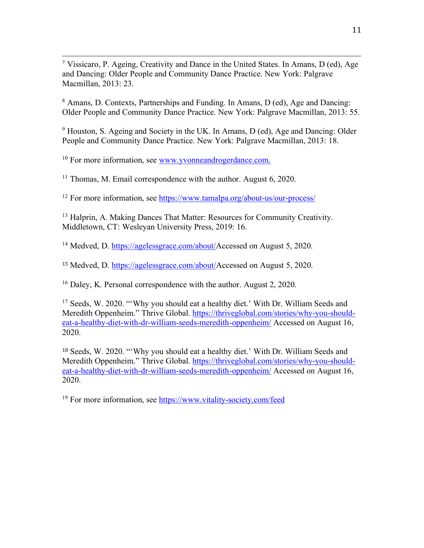<sup>7</sup> Vissicaro, P. Ageing, Creativity and Dance in the United States. In Amans, D (ed), Age and Dancing: Older People and Community Dance Practice. New York: Palgrave Macmillan, 2013: 23.

<u> 2002 - Andrea San Andrea San Andrea San Andrea San Andrea San Andrea San Andrea San Andrea San Andrea San An</u>

<sup>8</sup> Amans, D. Contexts, Partnerships and Funding. In Amans, D (ed), Age and Dancing: Older People and Community Dance Practice. New York: Palgrave Macmillan, 2013: 55.

<sup>9</sup> Houston, S. Ageing and Society in the UK. In Amans, D (ed), Age and Dancing: Older People and Community Dance Practice. New York: Palgrave Macmillan, 2013: 18.

<sup>10</sup> For more information, see www.yvonneandrogerdance.com.

<sup>11</sup> Thomas, M. Email correspondence with the author. August 6, 2020.

<sup>12</sup> For more information, see https://www.tamalpa.org/about-us/our-process/

<sup>13</sup> Halprin, A. Making Dances That Matter: Resources for Community Creativity. Middletown, CT: Wesleyan University Press, 2019: 16.

<sup>14</sup> Medved, D. https://agelessgrace.com/about/Accessed on August 5, 2020.

<sup>15</sup> Medved, D. https://agelessgrace.com/about/Accessed on August 5, 2020.

<sup>16</sup> Daley, K. Personal correspondence with the author. August 2, 2020.

<sup>17</sup> Seeds, W. 2020. "'Why you should eat a healthy diet.' With Dr. William Seeds and Meredith Oppenheim." Thrive Global. https://thriveglobal.com/stories/why-you-shouldeat-a-healthy-diet-with-dr-william-seeds-meredith-oppenheim/ Accessed on August 16, 2020.

<sup>18</sup> Seeds, W. 2020. "'Why you should eat a healthy diet.' With Dr. William Seeds and Meredith Oppenheim." Thrive Global. https://thriveglobal.com/stories/why-you-shouldeat-a-healthy-diet-with-dr-william-seeds-meredith-oppenheim/ Accessed on August 16, 2020.

<sup>19</sup> For more information, see https://www.vitality-society.com/feed